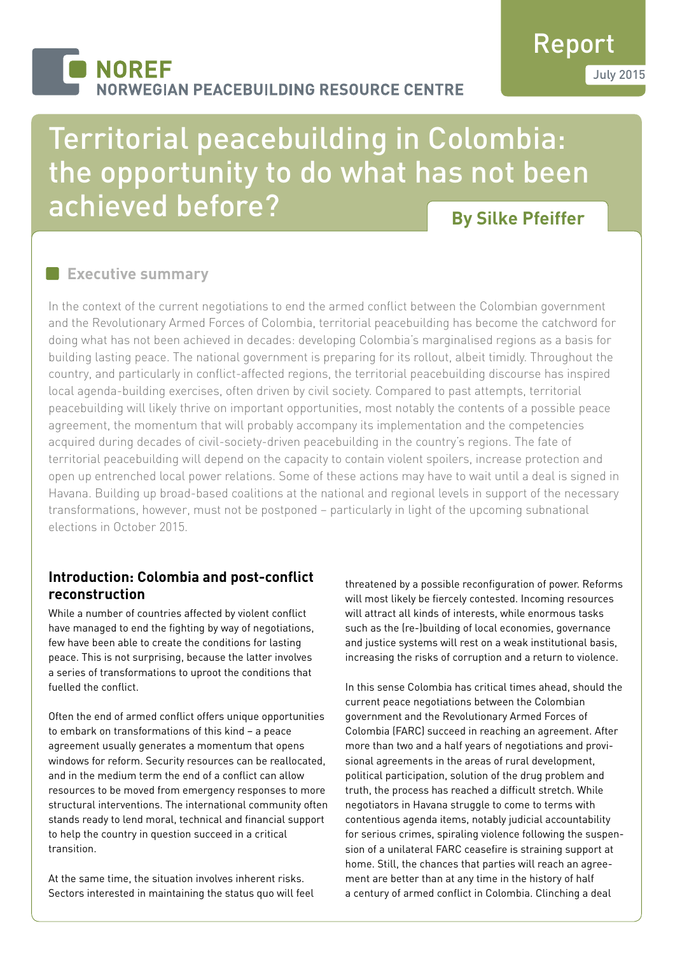# **NOREF NORWEGIAN PEACEBUILDING RESOURCE CENTRE**

# Report July 2015

# Territorial peacebuilding in Colombia: the opportunity to do what has not been achieved before?

# **By Silke Pfeiffer**

# **Executive summary**

In the context of the current negotiations to end the armed conflict between the Colombian government and the Revolutionary Armed Forces of Colombia, territorial peacebuilding has become the catchword for doing what has not been achieved in decades: developing Colombia's marginalised regions as a basis for building lasting peace. The national government is preparing for its rollout, albeit timidly. Throughout the country, and particularly in conflict-affected regions, the territorial peacebuilding discourse has inspired local agenda-building exercises, often driven by civil society. Compared to past attempts, territorial peacebuilding will likely thrive on important opportunities, most notably the contents of a possible peace agreement, the momentum that will probably accompany its implementation and the competencies acquired during decades of civil-society-driven peacebuilding in the country's regions. The fate of territorial peacebuilding will depend on the capacity to contain violent spoilers, increase protection and open up entrenched local power relations. Some of these actions may have to wait until a deal is signed in Havana. Building up broad-based coalitions at the national and regional levels in support of the necessary transformations, however, must not be postponed – particularly in light of the upcoming subnational elections in October 2015.

## **Introduction: Colombia and post-conflict reconstruction**

While a number of countries affected by violent conflict have managed to end the fighting by way of negotiations, few have been able to create the conditions for lasting peace. This is not surprising, because the latter involves a series of transformations to uproot the conditions that fuelled the conflict.

Often the end of armed conflict offers unique opportunities to embark on transformations of this kind – a peace agreement usually generates a momentum that opens windows for reform. Security resources can be reallocated, and in the medium term the end of a conflict can allow resources to be moved from emergency responses to more structural interventions. The international community often stands ready to lend moral, technical and financial support to help the country in question succeed in a critical transition.

At the same time, the situation involves inherent risks. Sectors interested in maintaining the status quo will feel threatened by a possible reconfiguration of power. Reforms will most likely be fiercely contested. Incoming resources will attract all kinds of interests, while enormous tasks such as the (re-)building of local economies, governance and justice systems will rest on a weak institutional basis, increasing the risks of corruption and a return to violence.

In this sense Colombia has critical times ahead, should the current peace negotiations between the Colombian government and the Revolutionary Armed Forces of Colombia (FARC) succeed in reaching an agreement. After more than two and a half years of negotiations and provisional agreements in the areas of rural development, political participation, solution of the drug problem and truth, the process has reached a difficult stretch. While negotiators in Havana struggle to come to terms with contentious agenda items, notably judicial accountability for serious crimes, spiraling violence following the suspension of a unilateral FARC ceasefire is straining support at home. Still, the chances that parties will reach an agreement are better than at any time in the history of half a century of armed conflict in Colombia. Clinching a deal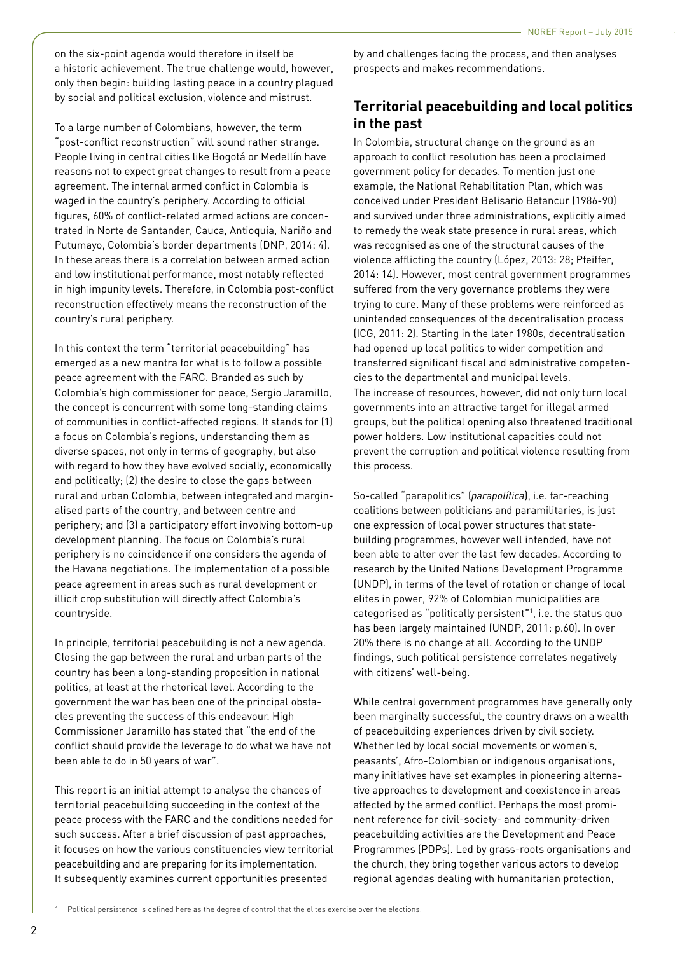on the six-point agenda would therefore in itself be a historic achievement. The true challenge would, however, only then begin: building lasting peace in a country plagued by social and political exclusion, violence and mistrust.

To a large number of Colombians, however, the term "post-conflict reconstruction" will sound rather strange. People living in central cities like Bogotá or Medellín have reasons not to expect great changes to result from a peace agreement. The internal armed conflict in Colombia is waged in the country's periphery. According to official figures, 60% of conflict-related armed actions are concentrated in Norte de Santander, Cauca, Antioquia, Nariño and Putumayo, Colombia's border departments (DNP, 2014: 4). In these areas there is a correlation between armed action and low institutional performance, most notably reflected in high impunity levels. Therefore, in Colombia post-conflict reconstruction effectively means the reconstruction of the country's rural periphery.

In this context the term "territorial peacebuilding" has emerged as a new mantra for what is to follow a possible peace agreement with the FARC. Branded as such by Colombia's high commissioner for peace, Sergio Jaramillo, the concept is concurrent with some long-standing claims of communities in conflict-affected regions. It stands for (1) a focus on Colombia's regions, understanding them as diverse spaces, not only in terms of geography, but also with regard to how they have evolved socially, economically and politically; (2) the desire to close the gaps between rural and urban Colombia, between integrated and marginalised parts of the country, and between centre and periphery; and (3) a participatory effort involving bottom-up development planning. The focus on Colombia's rural periphery is no coincidence if one considers the agenda of the Havana negotiations. The implementation of a possible peace agreement in areas such as rural development or illicit crop substitution will directly affect Colombia's countryside.

In principle, territorial peacebuilding is not a new agenda. Closing the gap between the rural and urban parts of the country has been a long-standing proposition in national politics, at least at the rhetorical level. According to the government the war has been one of the principal obstacles preventing the success of this endeavour. High Commissioner Jaramillo has stated that "the end of the conflict should provide the leverage to do what we have not been able to do in 50 years of war".

This report is an initial attempt to analyse the chances of territorial peacebuilding succeeding in the context of the peace process with the FARC and the conditions needed for such success. After a brief discussion of past approaches, it focuses on how the various constituencies view territorial peacebuilding and are preparing for its implementation. It subsequently examines current opportunities presented

by and challenges facing the process, and then analyses prospects and makes recommendations.

# **Territorial peacebuilding and local politics in the past**

In Colombia, structural change on the ground as an approach to conflict resolution has been a proclaimed government policy for decades. To mention just one example, the National Rehabilitation Plan, which was conceived under President Belisario Betancur (1986-90) and survived under three administrations, explicitly aimed to remedy the weak state presence in rural areas, which was recognised as one of the structural causes of the violence afflicting the country (López, 2013: 28; Pfeiffer, 2014: 14). However, most central government programmes suffered from the very governance problems they were trying to cure. Many of these problems were reinforced as unintended consequences of the decentralisation process (ICG, 2011: 2). Starting in the later 1980s, decentralisation had opened up local politics to wider competition and transferred significant fiscal and administrative competencies to the departmental and municipal levels. The increase of resources, however, did not only turn local governments into an attractive target for illegal armed groups, but the political opening also threatened traditional power holders. Low institutional capacities could not prevent the corruption and political violence resulting from this process.

So-called "parapolitics" (*parapolítica*), i.e. far-reaching coalitions between politicians and paramilitaries, is just one expression of local power structures that statebuilding programmes, however well intended, have not been able to alter over the last few decades. According to research by the United Nations Development Programme (UNDP), in terms of the level of rotation or change of local elites in power, 92% of Colombian municipalities are categorised as "politically persistent"1 , i.e. the status quo has been largely maintained (UNDP, 2011: p.60). In over 20% there is no change at all. According to the UNDP findings, such political persistence correlates negatively with citizens' well-being.

While central government programmes have generally only been marginally successful, the country draws on a wealth of peacebuilding experiences driven by civil society. Whether led by local social movements or women's, peasants', Afro-Colombian or indigenous organisations, many initiatives have set examples in pioneering alternative approaches to development and coexistence in areas affected by the armed conflict. Perhaps the most prominent reference for civil-society- and community-driven peacebuilding activities are the Development and Peace Programmes (PDPs). Led by grass-roots organisations and the church, they bring together various actors to develop regional agendas dealing with humanitarian protection,

Political persistence is defined here as the degree of control that the elites exercise over the elections.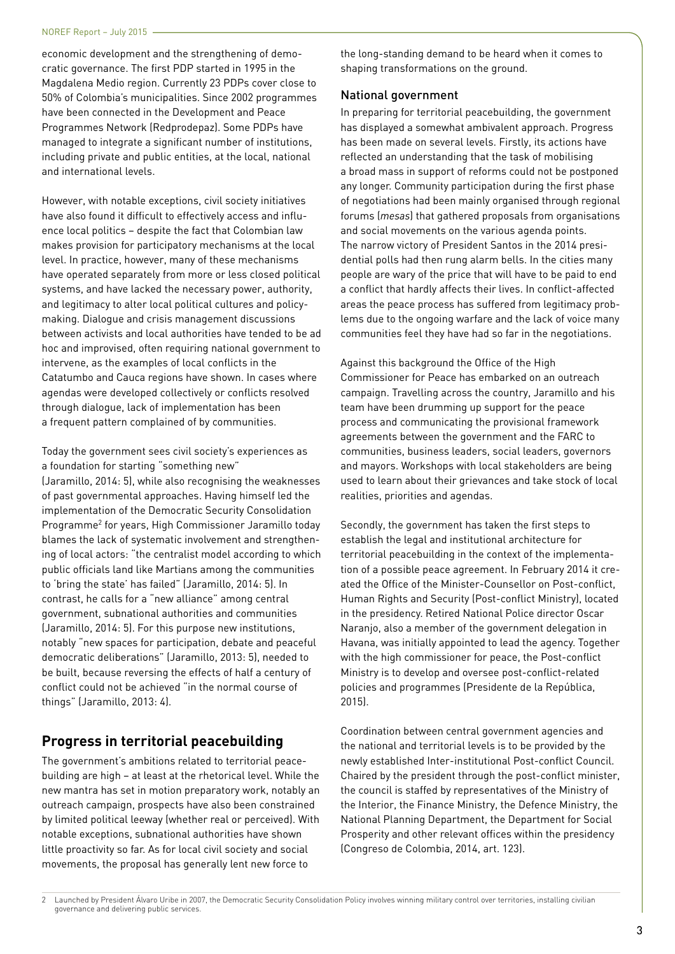economic development and the strengthening of democratic governance. The first PDP started in 1995 in the Magdalena Medio region. Currently 23 PDPs cover close to 50% of Colombia's municipalities. Since 2002 programmes have been connected in the Development and Peace Programmes Network (Redprodepaz). Some PDPs have managed to integrate a significant number of institutions, including private and public entities, at the local, national and international levels.

However, with notable exceptions, civil society initiatives have also found it difficult to effectively access and influence local politics – despite the fact that Colombian law makes provision for participatory mechanisms at the local level. In practice, however, many of these mechanisms have operated separately from more or less closed political systems, and have lacked the necessary power, authority, and legitimacy to alter local political cultures and policymaking. Dialogue and crisis management discussions between activists and local authorities have tended to be ad hoc and improvised, often requiring national government to intervene, as the examples of local conflicts in the Catatumbo and Cauca regions have shown. In cases where agendas were developed collectively or conflicts resolved through dialogue, lack of implementation has been a frequent pattern complained of by communities.

Today the government sees civil society's experiences as a foundation for starting "something new" (Jaramillo, 2014: 5), while also recognising the weaknesses of past governmental approaches. Having himself led the implementation of the Democratic Security Consolidation Programme<sup>2</sup> for years, High Commissioner Jaramillo today blames the lack of systematic involvement and strengthening of local actors: "the centralist model according to which public officials land like Martians among the communities to 'bring the state' has failed" (Jaramillo, 2014: 5). In contrast, he calls for a "new alliance" among central

government, subnational authorities and communities (Jaramillo, 2014: 5). For this purpose new institutions, notably "new spaces for participation, debate and peaceful democratic deliberations" (Jaramillo, 2013: 5), needed to be built, because reversing the effects of half a century of conflict could not be achieved "in the normal course of things" (Jaramillo, 2013: 4).

# **Progress in territorial peacebuilding**

The government's ambitions related to territorial peacebuilding are high – at least at the rhetorical level. While the new mantra has set in motion preparatory work, notably an outreach campaign, prospects have also been constrained by limited political leeway (whether real or perceived). With notable exceptions, subnational authorities have shown little proactivity so far. As for local civil society and social movements, the proposal has generally lent new force to

the long-standing demand to be heard when it comes to shaping transformations on the ground.

#### National government

In preparing for territorial peacebuilding, the government has displayed a somewhat ambivalent approach. Progress has been made on several levels. Firstly, its actions have reflected an understanding that the task of mobilising a broad mass in support of reforms could not be postponed any longer. Community participation during the first phase of negotiations had been mainly organised through regional forums (*mesas*) that gathered proposals from organisations and social movements on the various agenda points. The narrow victory of President Santos in the 2014 presidential polls had then rung alarm bells. In the cities many people are wary of the price that will have to be paid to end a conflict that hardly affects their lives. In conflict-affected areas the peace process has suffered from legitimacy problems due to the ongoing warfare and the lack of voice many communities feel they have had so far in the negotiations.

Against this background the Office of the High Commissioner for Peace has embarked on an outreach campaign. Travelling across the country, Jaramillo and his team have been drumming up support for the peace process and communicating the provisional framework agreements between the government and the FARC to communities, business leaders, social leaders, governors and mayors. Workshops with local stakeholders are being used to learn about their grievances and take stock of local realities, priorities and agendas.

Secondly, the government has taken the first steps to establish the legal and institutional architecture for territorial peacebuilding in the context of the implementation of a possible peace agreement. In February 2014 it created the Office of the Minister-Counsellor on Post-conflict, Human Rights and Security (Post-conflict Ministry), located in the presidency. Retired National Police director Oscar Naranjo, also a member of the government delegation in Havana, was initially appointed to lead the agency. Together with the high commissioner for peace, the Post-conflict Ministry is to develop and oversee post-conflict-related policies and programmes (Presidente de la República, 2015).

Coordination between central government agencies and the national and territorial levels is to be provided by the newly established Inter-institutional Post-conflict Council. Chaired by the president through the post-conflict minister, the council is staffed by representatives of the Ministry of the Interior, the Finance Ministry, the Defence Ministry, the National Planning Department, the Department for Social Prosperity and other relevant offices within the presidency (Congreso de Colombia, 2014, art. 123).

2 Launched by President Álvaro Uribe in 2007, the Democratic Security Consolidation Policy involves winning military control over territories, installing civilian governance and delivering public services.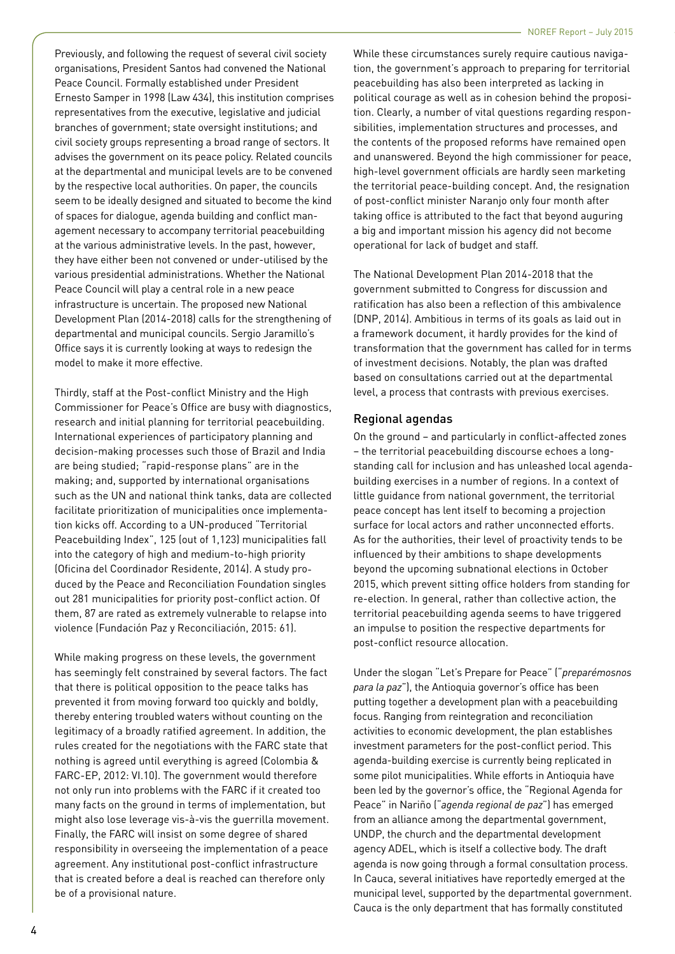Previously, and following the request of several civil society organisations, President Santos had convened the National Peace Council. Formally established under President Ernesto Samper in 1998 (Law 434), this institution comprises representatives from the executive, legislative and judicial branches of government; state oversight institutions; and civil society groups representing a broad range of sectors. It advises the government on its peace policy. Related councils at the departmental and municipal levels are to be convened by the respective local authorities. On paper, the councils seem to be ideally designed and situated to become the kind of spaces for dialogue, agenda building and conflict management necessary to accompany territorial peacebuilding at the various administrative levels. In the past, however, they have either been not convened or under-utilised by the various presidential administrations. Whether the National Peace Council will play a central role in a new peace infrastructure is uncertain. The proposed new National Development Plan (2014-2018) calls for the strengthening of departmental and municipal councils. Sergio Jaramillo's Office says it is currently looking at ways to redesign the model to make it more effective.

Thirdly, staff at the Post-conflict Ministry and the High Commissioner for Peace's Office are busy with diagnostics, research and initial planning for territorial peacebuilding. International experiences of participatory planning and decision-making processes such those of Brazil and India are being studied; "rapid-response plans" are in the making; and, supported by international organisations such as the UN and national think tanks, data are collected facilitate prioritization of municipalities once implementation kicks off. According to a UN-produced "Territorial Peacebuilding Index", 125 (out of 1,123) municipalities fall into the category of high and medium-to-high priority (Oficina del Coordinador Residente, 2014). A study produced by the Peace and Reconciliation Foundation singles out 281 municipalities for priority post-conflict action. Of them, 87 are rated as extremely vulnerable to relapse into violence (Fundación Paz y Reconciliación, 2015: 61).

While making progress on these levels, the government has seemingly felt constrained by several factors. The fact that there is political opposition to the peace talks has prevented it from moving forward too quickly and boldly, thereby entering troubled waters without counting on the legitimacy of a broadly ratified agreement. In addition, the rules created for the negotiations with the FARC state that nothing is agreed until everything is agreed (Colombia & FARC-EP, 2012: VI.10). The government would therefore not only run into problems with the FARC if it created too many facts on the ground in terms of implementation, but might also lose leverage vis-à-vis the guerrilla movement. Finally, the FARC will insist on some degree of shared responsibility in overseeing the implementation of a peace agreement. Any institutional post-conflict infrastructure that is created before a deal is reached can therefore only be of a provisional nature.

While these circumstances surely require cautious navigation, the government's approach to preparing for territorial peacebuilding has also been interpreted as lacking in political courage as well as in cohesion behind the proposition. Clearly, a number of vital questions regarding responsibilities, implementation structures and processes, and the contents of the proposed reforms have remained open and unanswered. Beyond the high commissioner for peace, high-level government officials are hardly seen marketing the territorial peace-building concept. And, the resignation of post-conflict minister Naranjo only four month after taking office is attributed to the fact that beyond auguring a big and important mission his agency did not become operational for lack of budget and staff.

The National Development Plan 2014-2018 that the government submitted to Congress for discussion and ratification has also been a reflection of this ambivalence (DNP, 2014). Ambitious in terms of its goals as laid out in a framework document, it hardly provides for the kind of transformation that the government has called for in terms of investment decisions. Notably, the plan was drafted based on consultations carried out at the departmental level, a process that contrasts with previous exercises.

#### Regional agendas

On the ground – and particularly in conflict-affected zones – the territorial peacebuilding discourse echoes a longstanding call for inclusion and has unleashed local agendabuilding exercises in a number of regions. In a context of little guidance from national government, the territorial peace concept has lent itself to becoming a projection surface for local actors and rather unconnected efforts. As for the authorities, their level of proactivity tends to be influenced by their ambitions to shape developments beyond the upcoming subnational elections in October 2015, which prevent sitting office holders from standing for re-election. In general, rather than collective action, the territorial peacebuilding agenda seems to have triggered an impulse to position the respective departments for post-conflict resource allocation.

Under the slogan "Let's Prepare for Peace" ("*preparémosnos para la paz*"), the Antioquia governor's office has been putting together a development plan with a peacebuilding focus. Ranging from reintegration and reconciliation activities to economic development, the plan establishes investment parameters for the post-conflict period. This agenda-building exercise is currently being replicated in some pilot municipalities. While efforts in Antioquia have been led by the governor's office, the "Regional Agenda for Peace" in Nariño ("*agenda regional de paz*") has emerged from an alliance among the departmental government, UNDP, the church and the departmental development agency ADEL, which is itself a collective body. The draft agenda is now going through a formal consultation process. In Cauca, several initiatives have reportedly emerged at the municipal level, supported by the departmental government. Cauca is the only department that has formally constituted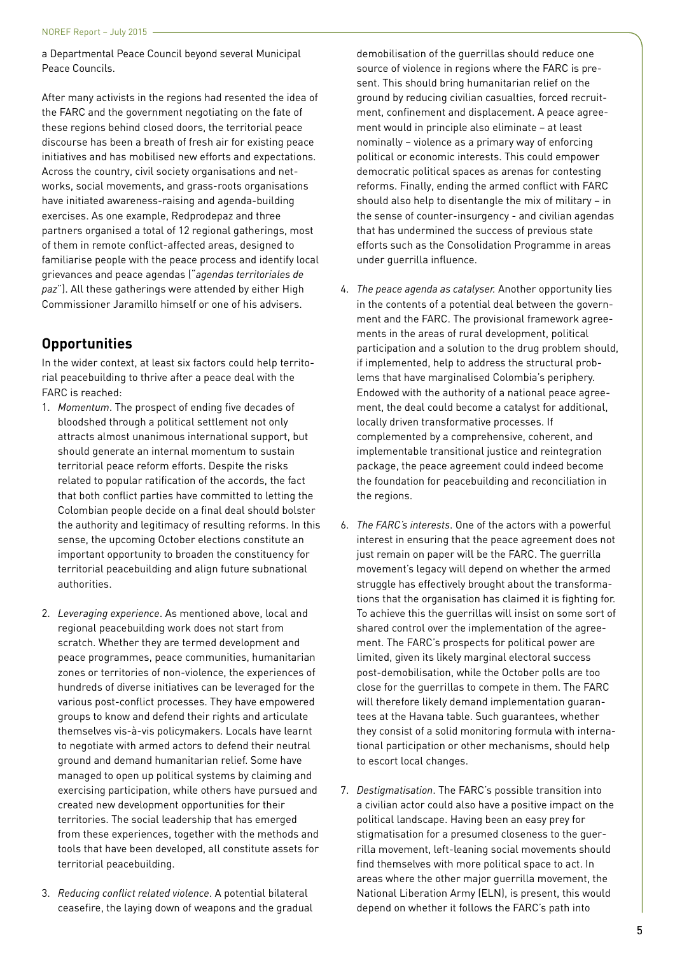a Departmental Peace Council beyond several Municipal Peace Councils.

After many activists in the regions had resented the idea of the FARC and the government negotiating on the fate of these regions behind closed doors, the territorial peace discourse has been a breath of fresh air for existing peace initiatives and has mobilised new efforts and expectations. Across the country, civil society organisations and networks, social movements, and grass-roots organisations have initiated awareness-raising and agenda-building exercises. As one example, Redprodepaz and three partners organised a total of 12 regional gatherings, most of them in remote conflict-affected areas, designed to familiarise people with the peace process and identify local grievances and peace agendas ("*agendas territoriales de paz*"). All these gatherings were attended by either High Commissioner Jaramillo himself or one of his advisers.

# **Opportunities**

In the wider context, at least six factors could help territorial peacebuilding to thrive after a peace deal with the FARC is reached:

- 1. *Momentum*. The prospect of ending five decades of bloodshed through a political settlement not only attracts almost unanimous international support, but should generate an internal momentum to sustain territorial peace reform efforts. Despite the risks related to popular ratification of the accords, the fact that both conflict parties have committed to letting the Colombian people decide on a final deal should bolster the authority and legitimacy of resulting reforms. In this sense, the upcoming October elections constitute an important opportunity to broaden the constituency for territorial peacebuilding and align future subnational authorities.
- 2. *Leveraging experience*. As mentioned above, local and regional peacebuilding work does not start from scratch. Whether they are termed development and peace programmes, peace communities, humanitarian zones or territories of non-violence, the experiences of hundreds of diverse initiatives can be leveraged for the various post-conflict processes. They have empowered groups to know and defend their rights and articulate themselves vis-à-vis policymakers. Locals have learnt to negotiate with armed actors to defend their neutral ground and demand humanitarian relief. Some have managed to open up political systems by claiming and exercising participation, while others have pursued and created new development opportunities for their territories. The social leadership that has emerged from these experiences, together with the methods and tools that have been developed, all constitute assets for territorial peacebuilding.
- 3. *Reducing conflict related violence*. A potential bilateral ceasefire, the laying down of weapons and the gradual

demobilisation of the guerrillas should reduce one source of violence in regions where the FARC is present. This should bring humanitarian relief on the ground by reducing civilian casualties, forced recruitment, confinement and displacement. A peace agreement would in principle also eliminate – at least nominally – violence as a primary way of enforcing political or economic interests. This could empower democratic political spaces as arenas for contesting reforms. Finally, ending the armed conflict with FARC should also help to disentangle the mix of military – in the sense of counter-insurgency - and civilian agendas that has undermined the success of previous state efforts such as the Consolidation Programme in areas under guerrilla influence.

- 4. *The peace agenda as catalyser.* Another opportunity lies in the contents of a potential deal between the government and the FARC. The provisional framework agreements in the areas of rural development, political participation and a solution to the drug problem should, if implemented, help to address the structural problems that have marginalised Colombia's periphery. Endowed with the authority of a national peace agreement, the deal could become a catalyst for additional, locally driven transformative processes. If complemented by a comprehensive, coherent, and implementable transitional justice and reintegration package, the peace agreement could indeed become the foundation for peacebuilding and reconciliation in the regions.
- 6. *The FARC's interests*. One of the actors with a powerful interest in ensuring that the peace agreement does not just remain on paper will be the FARC. The guerrilla movement's legacy will depend on whether the armed struggle has effectively brought about the transformations that the organisation has claimed it is fighting for. To achieve this the guerrillas will insist on some sort of shared control over the implementation of the agreement. The FARC's prospects for political power are limited, given its likely marginal electoral success post-demobilisation, while the October polls are too close for the guerrillas to compete in them. The FARC will therefore likely demand implementation guarantees at the Havana table. Such guarantees, whether they consist of a solid monitoring formula with international participation or other mechanisms, should help to escort local changes.
- 7. *Destigmatisation*. The FARC's possible transition into a civilian actor could also have a positive impact on the political landscape. Having been an easy prey for stigmatisation for a presumed closeness to the guerrilla movement, left-leaning social movements should find themselves with more political space to act. In areas where the other major guerrilla movement, the National Liberation Army (ELN), is present, this would depend on whether it follows the FARC's path into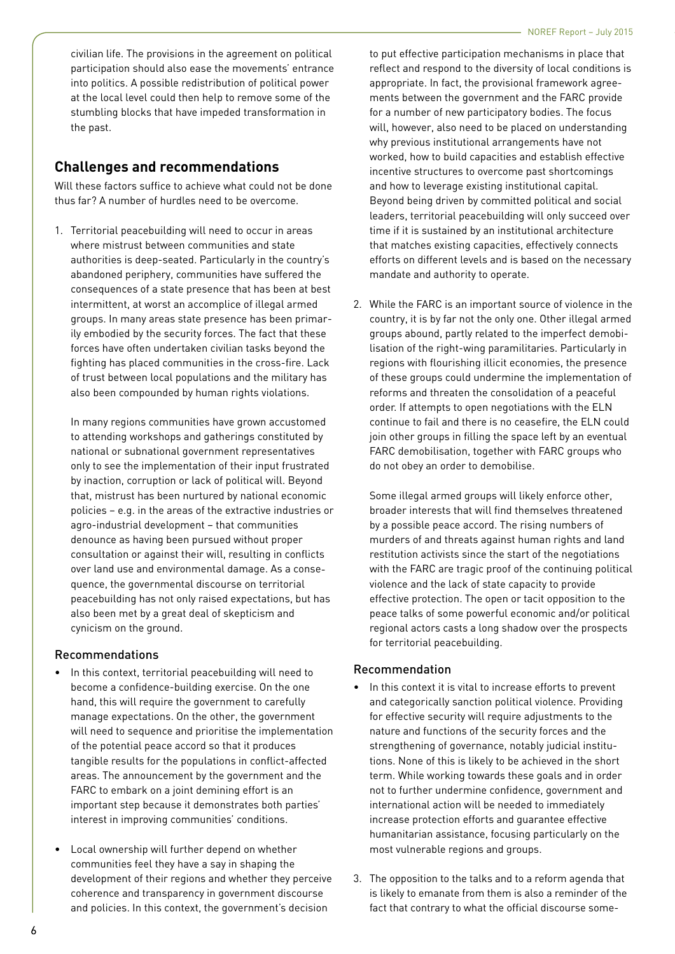civilian life. The provisions in the agreement on political participation should also ease the movements' entrance into politics. A possible redistribution of political power at the local level could then help to remove some of the stumbling blocks that have impeded transformation in the past.

### **Challenges and recommendations**

Will these factors suffice to achieve what could not be done thus far? A number of hurdles need to be overcome.

1. Territorial peacebuilding will need to occur in areas where mistrust between communities and state authorities is deep-seated. Particularly in the country's abandoned periphery, communities have suffered the consequences of a state presence that has been at best intermittent, at worst an accomplice of illegal armed groups. In many areas state presence has been primarily embodied by the security forces. The fact that these forces have often undertaken civilian tasks beyond the fighting has placed communities in the cross-fire. Lack of trust between local populations and the military has also been compounded by human rights violations.

In many regions communities have grown accustomed to attending workshops and gatherings constituted by national or subnational government representatives only to see the implementation of their input frustrated by inaction, corruption or lack of political will. Beyond that, mistrust has been nurtured by national economic policies – e.g. in the areas of the extractive industries or agro-industrial development – that communities denounce as having been pursued without proper consultation or against their will, resulting in conflicts over land use and environmental damage. As a consequence, the governmental discourse on territorial peacebuilding has not only raised expectations, but has also been met by a great deal of skepticism and cynicism on the ground.

### Recommendations

- In this context, territorial peacebuilding will need to become a confidence-building exercise. On the one hand, this will require the government to carefully manage expectations. On the other, the government will need to sequence and prioritise the implementation of the potential peace accord so that it produces tangible results for the populations in conflict-affected areas. The announcement by the government and the FARC to embark on a joint demining effort is an important step because it demonstrates both parties' interest in improving communities' conditions.
- Local ownership will further depend on whether communities feel they have a say in shaping the development of their regions and whether they perceive coherence and transparency in government discourse and policies. In this context, the government's decision

to put effective participation mechanisms in place that reflect and respond to the diversity of local conditions is appropriate. In fact, the provisional framework agreements between the government and the FARC provide for a number of new participatory bodies. The focus will, however, also need to be placed on understanding why previous institutional arrangements have not worked, how to build capacities and establish effective incentive structures to overcome past shortcomings and how to leverage existing institutional capital. Beyond being driven by committed political and social leaders, territorial peacebuilding will only succeed over time if it is sustained by an institutional architecture that matches existing capacities, effectively connects efforts on different levels and is based on the necessary mandate and authority to operate.

2. While the FARC is an important source of violence in the country, it is by far not the only one. Other illegal armed groups abound, partly related to the imperfect demobilisation of the right-wing paramilitaries. Particularly in regions with flourishing illicit economies, the presence of these groups could undermine the implementation of reforms and threaten the consolidation of a peaceful order. If attempts to open negotiations with the ELN continue to fail and there is no ceasefire, the ELN could join other groups in filling the space left by an eventual FARC demobilisation, together with FARC groups who do not obey an order to demobilise.

Some illegal armed groups will likely enforce other, broader interests that will find themselves threatened by a possible peace accord. The rising numbers of murders of and threats against human rights and land restitution activists since the start of the negotiations with the FARC are tragic proof of the continuing political violence and the lack of state capacity to provide effective protection. The open or tacit opposition to the peace talks of some powerful economic and/or political regional actors casts a long shadow over the prospects for territorial peacebuilding.

### Recommendation

- In this context it is vital to increase efforts to prevent and categorically sanction political violence. Providing for effective security will require adjustments to the nature and functions of the security forces and the strengthening of governance, notably judicial institutions. None of this is likely to be achieved in the short term. While working towards these goals and in order not to further undermine confidence, government and international action will be needed to immediately increase protection efforts and guarantee effective humanitarian assistance, focusing particularly on the most vulnerable regions and groups.
- 3. The opposition to the talks and to a reform agenda that is likely to emanate from them is also a reminder of the fact that contrary to what the official discourse some-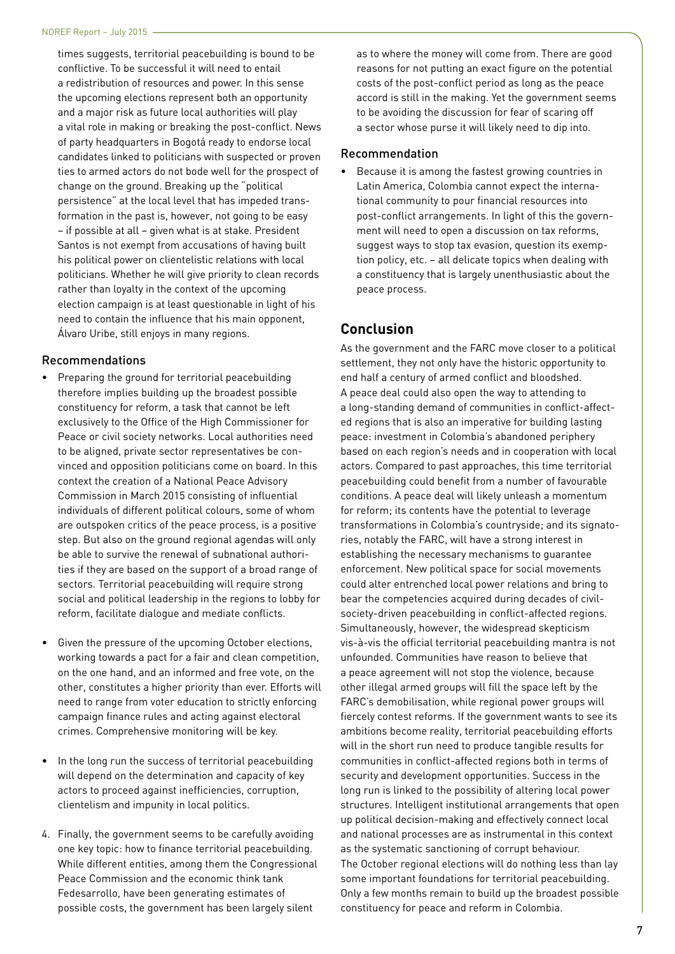times suggests, territorial peacebuilding is bound to be conflictive. To be successful it will need to entail a redistribution of resources and power. In this sense the upcoming elections represent both an opportunity and a major risk as future local authorities will play a vital role in making or breaking the post-conflict. News of party headquarters in Bogotá ready to endorse local candidates linked to politicians with suspected or proven ties to armed actors do not bode well for the prospect of change on the ground. Breaking up the "political persistence" at the local level that has impeded transformation in the past is, however, not going to be easy – if possible at all – given what is at stake. President Santos is not exempt from accusations of having built his political power on clientelistic relations with local politicians. Whether he will give priority to clean records rather than loyalty in the context of the upcoming election campaign is at least questionable in light of his need to contain the influence that his main opponent, Álvaro Uribe, still enjoys in many regions.

#### Recommendations

- Preparing the ground for territorial peacebuilding therefore implies building up the broadest possible constituency for reform, a task that cannot be left exclusively to the Office of the High Commissioner for Peace or civil society networks. Local authorities need to be aligned, private sector representatives be convinced and opposition politicians come on board. In this context the creation of a National Peace Advisory Commission in March 2015 consisting of influential individuals of different political colours, some of whom are outspoken critics of the peace process, is a positive step. But also on the ground regional agendas will only be able to survive the renewal of subnational authorities if they are based on the support of a broad range of sectors. Territorial peacebuilding will require strong social and political leadership in the regions to lobby for reform, facilitate dialogue and mediate conflicts.
- Given the pressure of the upcoming October elections, working towards a pact for a fair and clean competition, on the one hand, and an informed and free vote, on the other, constitutes a higher priority than ever. Efforts will need to range from voter education to strictly enforcing campaign finance rules and acting against electoral crimes. Comprehensive monitoring will be key.
- In the long run the success of territorial peacebuilding will depend on the determination and capacity of key actors to proceed against inefficiencies, corruption, clientelism and impunity in local politics.
- 4. Finally, the government seems to be carefully avoiding one key topic: how to finance territorial peacebuilding. While different entities, among them the Congressional Peace Commission and the economic think tank Fedesarrollo, have been generating estimates of possible costs, the government has been largely silent

as to where the money will come from. There are good reasons for not putting an exact figure on the potential costs of the post-conflict period as long as the peace accord is still in the making. Yet the government seems to be avoiding the discussion for fear of scaring off a sector whose purse it will likely need to dip into.

#### Recommendation

• Because it is among the fastest growing countries in Latin America, Colombia cannot expect the international community to pour financial resources into post-conflict arrangements. In light of this the government will need to open a discussion on tax reforms, suggest ways to stop tax evasion, question its exemption policy, etc. – all delicate topics when dealing with a constituency that is largely unenthusiastic about the peace process.

### **Conclusion**

As the government and the FARC move closer to a political settlement, they not only have the historic opportunity to end half a century of armed conflict and bloodshed. A peace deal could also open the way to attending to a long-standing demand of communities in conflict-affected regions that is also an imperative for building lasting peace: investment in Colombia's abandoned periphery based on each region's needs and in cooperation with local actors. Compared to past approaches, this time territorial peacebuilding could benefit from a number of favourable conditions. A peace deal will likely unleash a momentum for reform; its contents have the potential to leverage transformations in Colombia's countryside; and its signatories, notably the FARC, will have a strong interest in establishing the necessary mechanisms to guarantee enforcement. New political space for social movements could alter entrenched local power relations and bring to bear the competencies acquired during decades of civilsociety-driven peacebuilding in conflict-affected regions. Simultaneously, however, the widespread skepticism vis-à-vis the official territorial peacebuilding mantra is not unfounded. Communities have reason to believe that a peace agreement will not stop the violence, because other illegal armed groups will fill the space left by the FARC's demobilisation, while regional power groups will fiercely contest reforms. If the government wants to see its ambitions become reality, territorial peacebuilding efforts will in the short run need to produce tangible results for communities in conflict-affected regions both in terms of security and development opportunities. Success in the long run is linked to the possibility of altering local power structures. Intelligent institutional arrangements that open up political decision-making and effectively connect local and national processes are as instrumental in this context as the systematic sanctioning of corrupt behaviour. The October regional elections will do nothing less than lay some important foundations for territorial peacebuilding. Only a few months remain to build up the broadest possible constituency for peace and reform in Colombia.